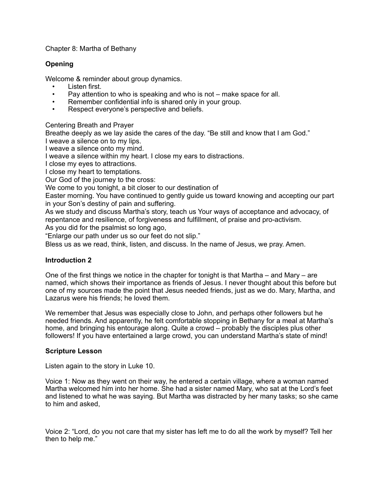## Chapter 8: Martha of Bethany

# **Opening**

Welcome & reminder about group dynamics.

- Listen first.
- Pay attention to who is speaking and who is not make space for all.
- Remember confidential info is shared only in your group.
- Respect everyone's perspective and beliefs.

## Centering Breath and Prayer

Breathe deeply as we lay aside the cares of the day. "Be still and know that I am God." I weave a silence on to my lips.

I weave a silence onto my mind.

I weave a silence within my heart. I close my ears to distractions.

I close my eyes to attractions.

I close my heart to temptations.

Our God of the journey to the cross:

We come to you tonight, a bit closer to our destination of

Easter morning. You have continued to gently guide us toward knowing and accepting our part in your Son's destiny of pain and suffering.

As we study and discuss Martha's story, teach us Your ways of acceptance and advocacy, of repentance and resilience, of forgiveness and fulfillment, of praise and pro-activism.

As you did for the psalmist so long ago,

"Enlarge our path under us so our feet do not slip."

Bless us as we read, think, listen, and discuss. In the name of Jesus, we pray. Amen.

## **Introduction 2**

One of the first things we notice in the chapter for tonight is that Martha  $-$  and Mary  $-$  are named, which shows their importance as friends of Jesus. I never thought about this before but one of my sources made the point that Jesus needed friends, just as we do. Mary, Martha, and Lazarus were his friends; he loved them.

We remember that Jesus was especially close to John, and perhaps other followers but he needed friends. And apparently, he felt comfortable stopping in Bethany for a meal at Martha's home, and bringing his entourage along. Quite a crowd – probably the disciples plus other followers! If you have entertained a large crowd, you can understand Martha's state of mind!

#### **Scripture Lesson**

Listen again to the story in Luke 10.

Voice 1: Now as they went on their way, he entered a certain village, where a woman named Martha welcomed him into her home. She had a sister named Mary, who sat at the Lord's feet and listened to what he was saying. But Martha was distracted by her many tasks; so she came to him and asked,

Voice 2: "Lord, do you not care that my sister has left me to do all the work by myself? Tell her then to help me."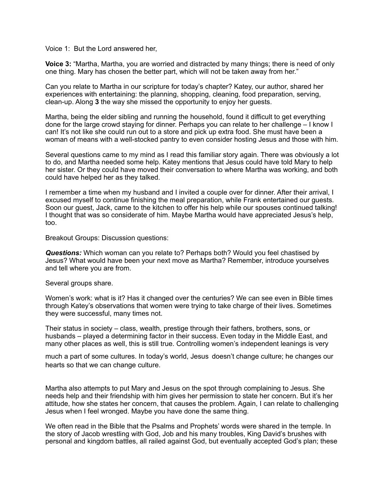Voice 1: But the Lord answered her,

**Voice 3:** "Martha, Martha, you are worried and distracted by many things; there is need of only one thing. Mary has chosen the better part, which will not be taken away from her."

Can you relate to Martha in our scripture for today's chapter? Katey, our author, shared her experiences with entertaining: the planning, shopping, cleaning, food preparation, serving, clean-up. Along **3** the way she missed the opportunity to enjoy her guests.

Martha, being the elder sibling and running the household, found it difficult to get everything done for the large crowd staying for dinner. Perhaps you can relate to her challenge – I know I can! It's not like she could run out to a store and pick up extra food. She must have been a woman of means with a well-stocked pantry to even consider hosting Jesus and those with him.

Several questions came to my mind as I read this familiar story again. There was obviously a lot to do, and Martha needed some help. Katey mentions that Jesus could have told Mary to help her sister. Or they could have moved their conversation to where Martha was working, and both could have helped her as they talked.

I remember a time when my husband and I invited a couple over for dinner. After their arrival, I excused myself to continue finishing the meal preparation, while Frank entertained our guests. Soon our guest, Jack, came to the kitchen to offer his help while our spouses continued talking! I thought that was so considerate of him. Maybe Martha would have appreciated Jesus's help, too.

Breakout Groups: Discussion questions:

*Questions:* Which woman can you relate to? Perhaps both? Would you feel chastised by Jesus? What would have been your next move as Martha? Remember, introduce yourselves and tell where you are from.

Several groups share.

Women's work: what is it? Has it changed over the centuries? We can see even in Bible times through Katey's observations that women were trying to take charge of their lives. Sometimes they were successful, many times not.

Their status in society – class, wealth, prestige through their fathers, brothers, sons, or husbands – played a determining factor in their success. Even today in the Middle East, and many other places as well, this is still true. Controlling women's independent leanings is very

much a part of some cultures. In today's world, Jesus doesn't change culture; he changes our hearts so that we can change culture.

Martha also attempts to put Mary and Jesus on the spot through complaining to Jesus. She needs help and their friendship with him gives her permission to state her concern. But it's her attitude, how she states her concern, that causes the problem. Again, I can relate to challenging Jesus when I feel wronged. Maybe you have done the same thing.

We often read in the Bible that the Psalms and Prophets' words were shared in the temple. In the story of Jacob wrestling with God, Job and his many troubles, King David's brushes with personal and kingdom battles, all railed against God, but eventually accepted God's plan; these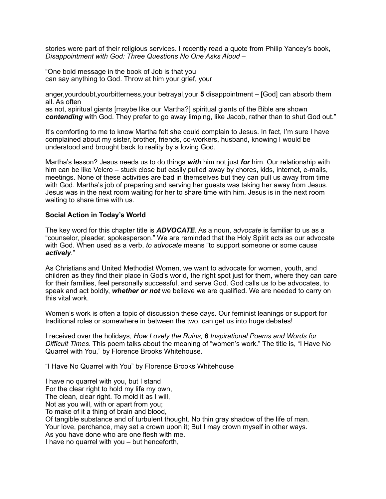stories were part of their religious services. I recently read a quote from Philip Yancey's book, *Disappointment with God: Three Questions No One Asks Aloud –* 

"One bold message in the book of Job is that you can say anything to God. Throw at him your grief, your

anger,yourdoubt,yourbitterness,your betrayal,your **5** disappointment – [God] can absorb them all. As often

as not, spiritual giants [maybe like our Martha?] spiritual giants of the Bible are shown *contending* with God. They prefer to go away limping, like Jacob, rather than to shut God out."

It's comforting to me to know Martha felt she could complain to Jesus. In fact, I'm sure I have complained about my sister, brother, friends, co-workers, husband, knowing I would be understood and brought back to reality by a loving God.

Martha's lesson? Jesus needs us to do things *with* him not just *for* him. Our relationship with him can be like Velcro – stuck close but easily pulled away by chores, kids, internet, e-mails. meetings. None of these activities are bad in themselves but they can pull us away from time with God. Martha's job of preparing and serving her guests was taking her away from Jesus. Jesus was in the next room waiting for her to share time with him. Jesus is in the next room waiting to share time with us.

## **Social Action in Today's World**

The key word for this chapter title is *ADVOCATE*. As a noun, *advocate* is familiar to us as a "counselor, pleader, spokesperson." We are reminded that the Holy Spirit acts as our advocate with God. When used as a verb, *to advocate* means "to support someone or some cause *actively*."

As Christians and United Methodist Women, we want to advocate for women, youth, and children as they find their place in God's world, the right spot just for them, where they can care for their families, feel personally successful, and serve God. God calls us to be advocates, to speak and act boldly, *whether or not* we believe we are qualified. We are needed to carry on this vital work.

Women's work is often a topic of discussion these days. Our feminist leanings or support for traditional roles or somewhere in between the two, can get us into huge debates!

I received over the holidays, *How Lovely the Ruins,* **6** *Inspirational Poems and Words for Difficult Times*. This poem talks about the meaning of "women's work." The title is, "I Have No Quarrel with You," by Florence Brooks Whitehouse.

"I Have No Quarrel with You" by Florence Brooks Whitehouse

I have no quarrel with you, but I stand For the clear right to hold my life my own. The clean, clear right. To mold it as I will, Not as you will, with or apart from you; To make of it a thing of brain and blood, Of tangible substance and of turbulent thought. No thin gray shadow of the life of man. Your love, perchance, may set a crown upon it; But I may crown myself in other ways. As you have done who are one flesh with me. I have no quarrel with you – but henceforth,